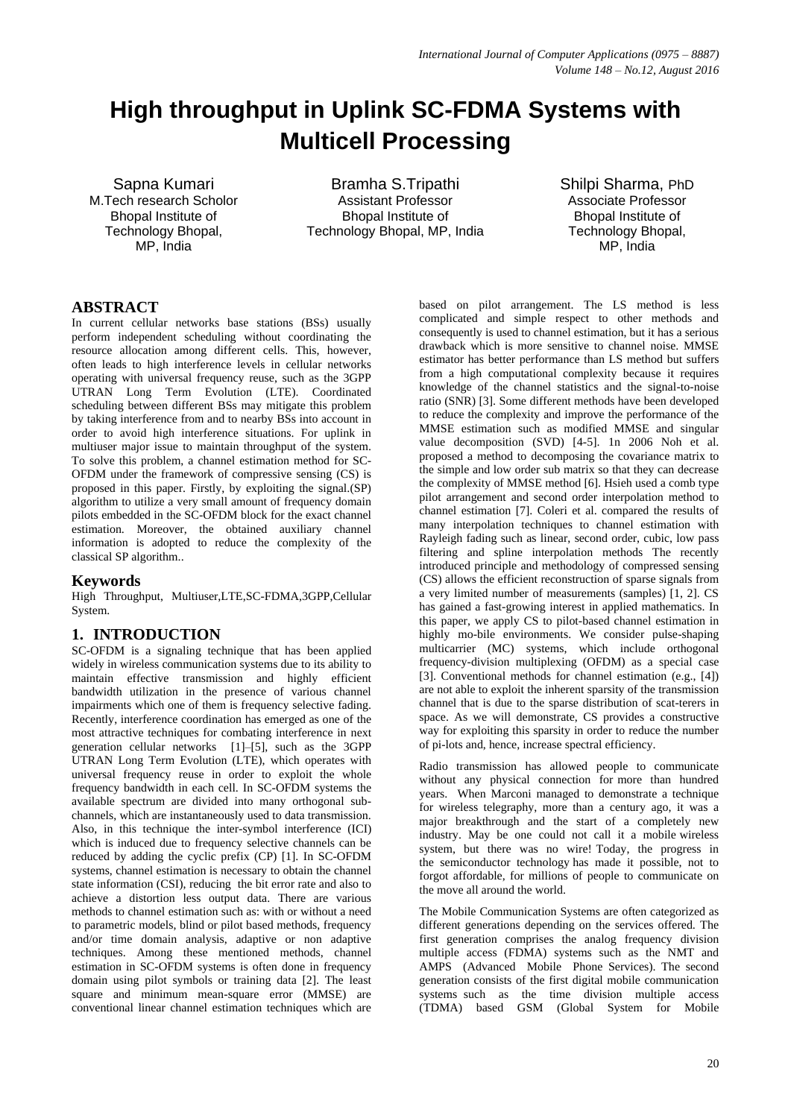# **High throughput in Uplink SC-FDMA Systems with Multicell Processing**

Sapna Kumari M.Tech research Scholor Bhopal Institute of Technology Bhopal, MP, India

Bramha S.Tripathi Assistant Professor Bhopal Institute of Technology Bhopal, MP, India Shilpi Sharma, PhD Associate Professor Bhopal Institute of Technology Bhopal, MP, India

# **ABSTRACT**

In current cellular networks base stations (BSs) usually perform independent scheduling without coordinating the resource allocation among different cells. This, however, often leads to high interference levels in cellular networks operating with universal frequency reuse, such as the 3GPP UTRAN Long Term Evolution (LTE). Coordinated scheduling between different BSs may mitigate this problem by taking interference from and to nearby BSs into account in order to avoid high interference situations. For uplink in multiuser major issue to maintain throughput of the system. To solve this problem, a channel estimation method for SC-OFDM under the framework of compressive sensing (CS) is proposed in this paper. Firstly, by exploiting the signal.(SP) algorithm to utilize a very small amount of frequency domain pilots embedded in the SC-OFDM block for the exact channel estimation. Moreover, the obtained auxiliary channel information is adopted to reduce the complexity of the classical SP algorithm..

# **Keywords**

High Throughput, Multiuser,LTE,SC-FDMA,3GPP,Cellular System.

# **1. INTRODUCTION**

SC-OFDM is a signaling technique that has been applied widely in wireless communication systems due to its ability to maintain effective transmission and highly efficient bandwidth utilization in the presence of various channel impairments which one of them is frequency selective fading. Recently, interference coordination has emerged as one of the most attractive techniques for combating interference in next generation cellular networks [1]–[5], such as the 3GPP UTRAN Long Term Evolution (LTE), which operates with universal frequency reuse in order to exploit the whole frequency bandwidth in each cell. In SC-OFDM systems the available spectrum are divided into many orthogonal subchannels, which are instantaneously used to data transmission. Also, in this technique the inter-symbol interference (ICI) which is induced due to frequency selective channels can be reduced by adding the cyclic prefix (CP) [1]. In SC-OFDM systems, channel estimation is necessary to obtain the channel state information (CSI), reducing the bit error rate and also to achieve a distortion less output data. There are various methods to channel estimation such as: with or without a need to parametric models, blind or pilot based methods, frequency and/or time domain analysis, adaptive or non adaptive techniques. Among these mentioned methods, channel estimation in SC-OFDM systems is often done in frequency domain using pilot symbols or training data [2]. The least square and minimum mean-square error (MMSE) are conventional linear channel estimation techniques which are

based on pilot arrangement. The LS method is less complicated and simple respect to other methods and consequently is used to channel estimation, but it has a serious drawback which is more sensitive to channel noise. MMSE estimator has better performance than LS method but suffers from a high computational complexity because it requires knowledge of the channel statistics and the signal-to-noise ratio (SNR) [3]. Some different methods have been developed to reduce the complexity and improve the performance of the MMSE estimation such as modified MMSE and singular value decomposition (SVD) [4-5]. 1n 2006 Noh et al. proposed a method to decomposing the covariance matrix to the simple and low order sub matrix so that they can decrease the complexity of MMSE method [6]. Hsieh used a comb type pilot arrangement and second order interpolation method to channel estimation [7]. Coleri et al. compared the results of many interpolation techniques to channel estimation with Rayleigh fading such as linear, second order, cubic, low pass filtering and spline interpolation methods The recently introduced principle and methodology of compressed sensing (CS) allows the efficient reconstruction of sparse signals from a very limited number of measurements (samples) [1, 2]. CS has gained a fast-growing interest in applied mathematics. In this paper, we apply CS to pilot-based channel estimation in highly mo-bile environments. We consider pulse-shaping multicarrier (MC) systems, which include orthogonal frequency-division multiplexing (OFDM) as a special case [3]. Conventional methods for channel estimation (e.g., [4]) are not able to exploit the inherent sparsity of the transmission channel that is due to the sparse distribution of scat-terers in space. As we will demonstrate, CS provides a constructive way for exploiting this sparsity in order to reduce the number of pi-lots and, hence, increase spectral efficiency.

Radio transmission has allowed people to communicate without any physical connection for more than hundred years. When Marconi managed to demonstrate a technique for wireless telegraphy, more than a century ago, it was a major breakthrough and the start of a completely new industry. May be one could not call it a mobile wireless system, but there was no wire! Today, the progress in the semiconductor technology has made it possible, not to forgot affordable, for millions of people to communicate on the move all around the world.

The Mobile Communication Systems are often categorized as different generations depending on the services offered. The first generation comprises the analog frequency division multiple access (FDMA) systems such as the NMT and AMPS (Advanced Mobile Phone Services). The second generation consists of the first digital mobile communication systems such as the time division multiple access (TDMA) based GSM (Global System for Mobile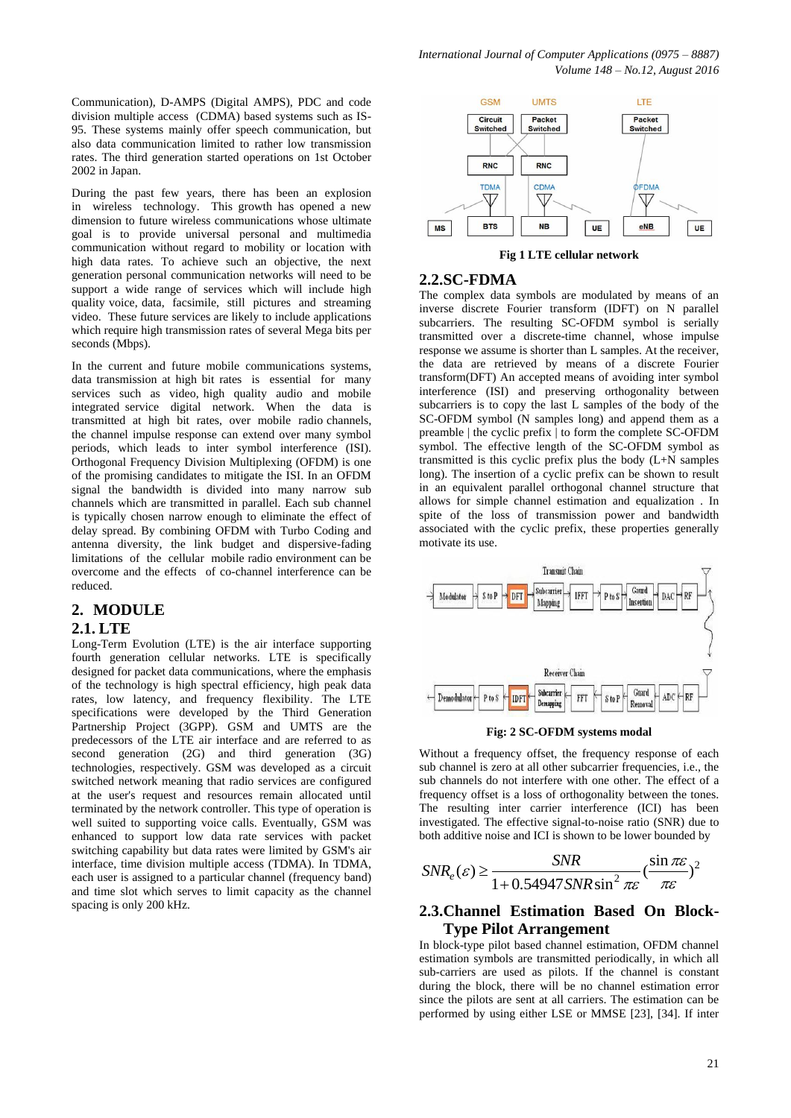Communication), D-AMPS (Digital AMPS), PDC and code division multiple access (CDMA) based systems such as IS-95. These systems mainly offer speech communication, but also data communication limited to rather low transmission rates. The third generation started operations on 1st October 2002 in Japan.

During the past few years, there has been an explosion in wireless technology. This growth has opened a new dimension to future wireless communications whose ultimate goal is to provide universal personal and multimedia communication without regard to mobility or location with high data rates. To achieve such an objective, the next generation personal communication networks will need to be support a wide range of services which will include high quality voice, data, facsimile, still pictures and streaming video. These future services are likely to include applications which require high transmission rates of several Mega bits per seconds (Mbps).

In the current and future mobile communications systems, data transmission at high bit rates is essential for many services such as video, high quality audio and mobile integrated service digital network. When the data is transmitted at high bit rates, over mobile radio channels, the channel impulse response can extend over many symbol periods, which leads to inter symbol interference (ISI). Orthogonal Frequency Division Multiplexing (OFDM) is one of the promising candidates to mitigate the ISI. In an OFDM signal the bandwidth is divided into many narrow sub channels which are transmitted in parallel. Each sub channel is typically chosen narrow enough to eliminate the effect of delay spread. By combining OFDM with Turbo Coding and antenna diversity, the link budget and dispersive-fading limitations of the cellular mobile radio environment can be overcome and the effects of co-channel interference can be reduced.

## **2. MODULE**

#### **2.1. LTE**

Long-Term Evolution (LTE) is the air interface supporting fourth generation cellular networks. LTE is specifically designed for packet data communications, where the emphasis of the technology is high spectral efficiency, high peak data rates, low latency, and frequency flexibility. The LTE specifications were developed by the Third Generation Partnership Project (3GPP). GSM and UMTS are the predecessors of the LTE air interface and are referred to as second generation (2G) and third generation (3G) technologies, respectively. GSM was developed as a circuit switched network meaning that radio services are configured at the user's request and resources remain allocated until terminated by the network controller. This type of operation is well suited to supporting voice calls. Eventually, GSM was enhanced to support low data rate services with packet switching capability but data rates were limited by GSM's air interface, time division multiple access (TDMA). In TDMA, each user is assigned to a particular channel (frequency band) and time slot which serves to limit capacity as the channel spacing is only 200 kHz.



**Fig 1 LTE cellular network**

#### **2.2.SC-FDMA**

The complex data symbols are modulated by means of an inverse discrete Fourier transform (IDFT) on N parallel subcarriers. The resulting SC-OFDM symbol is serially transmitted over a discrete-time channel, whose impulse response we assume is shorter than L samples. At the receiver, the data are retrieved by means of a discrete Fourier transform(DFT) An accepted means of avoiding inter symbol interference (ISI) and preserving orthogonality between subcarriers is to copy the last L samples of the body of the SC-OFDM symbol (N samples long) and append them as a preamble | the cyclic prefix | to form the complete SC-OFDM symbol. The effective length of the SC-OFDM symbol as transmitted is this cyclic prefix plus the body (L+N samples long). The insertion of a cyclic prefix can be shown to result in an equivalent parallel orthogonal channel structure that allows for simple channel estimation and equalization . In spite of the loss of transmission power and bandwidth associated with the cyclic prefix, these properties generally motivate its use.



**Fig: 2 SC-OFDM systems modal**

Without a frequency offset, the frequency response of each sub channel is zero at all other subcarrier frequencies, i.e., the sub channels do not interfere with one other. The effect of a frequency offset is a loss of orthogonality between the tones. The resulting inter carrier interference (ICI) has been investigated. The effective signal-to-noise ratio (SNR) due to

both additive noise and ICI is shown to be lower bounded by  
\n
$$
SNR_e(\varepsilon) \ge \frac{SNR}{1 + 0.54947 SNR \sin^2 \pi \varepsilon} \left(\frac{\sin \pi \varepsilon}{\pi \varepsilon}\right)^2
$$

# **2.3.Channel Estimation Based On Block-Type Pilot Arrangement**

In block-type pilot based channel estimation, OFDM channel estimation symbols are transmitted periodically, in which all sub-carriers are used as pilots. If the channel is constant during the block, there will be no channel estimation error since the pilots are sent at all carriers. The estimation can be performed by using either LSE or MMSE [23], [34]. If inter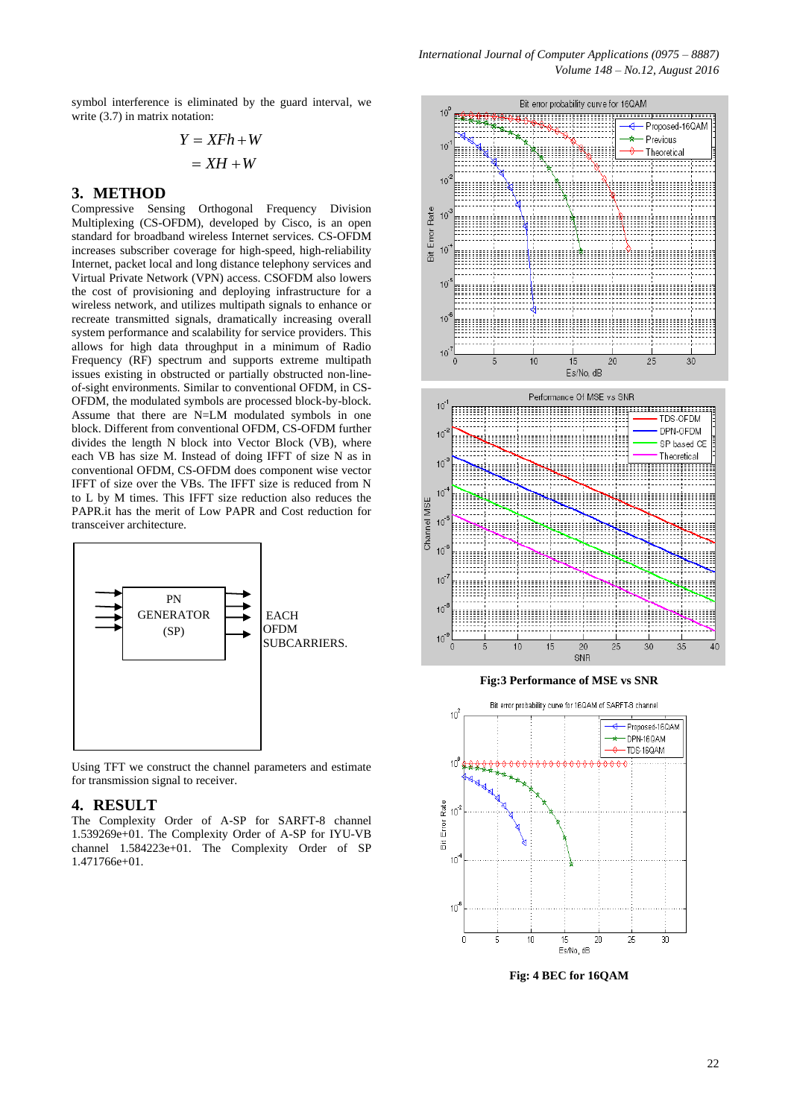symbol interference is eliminated by the guard interval, we write  $(3.7)$  in matrix notation:

$$
Y = XFh + W
$$

$$
= XH + W
$$

## **3. METHOD**

Compressive Sensing Orthogonal Frequency Division Multiplexing (CS-OFDM), developed by Cisco, is an open standard for broadband wireless Internet services. CS-OFDM increases subscriber coverage for high-speed, high-reliability Internet, packet local and long distance telephony services and Virtual Private Network (VPN) access. CSOFDM also lowers the cost of provisioning and deploying infrastructure for a wireless network, and utilizes multipath signals to enhance or recreate transmitted signals, dramatically increasing overall system performance and scalability for service providers. This allows for high data throughput in a minimum of Radio Frequency (RF) spectrum and supports extreme multipath issues existing in obstructed or partially obstructed non-lineof-sight environments. Similar to conventional OFDM, in CS-OFDM, the modulated symbols are processed block-by-block. Assume that there are N=LM modulated symbols in one block. Different from conventional OFDM, CS-OFDM further divides the length N block into Vector Block (VB), where each VB has size M. Instead of doing IFFT of size N as in conventional OFDM, CS-OFDM does component wise vector IFFT of size over the VBs. The IFFT size is reduced from N to L by M times. This IFFT size reduction also reduces the PAPR.it has the merit of Low PAPR and Cost reduction for transceiver architecture.



Using TFT we construct the channel parameters and estimate for transmission signal to receiver.

#### **4. RESULT**

The Complexity Order of A-SP for SARFT-8 channel 1.539269e+01. The Complexity Order of A-SP for IYU-VB channel 1.584223e+01. The Complexity Order of SP 1.471766e+01.



*International Journal of Computer Applications (0975 – 8887)*

**Fig:3 Performance of MSE vs SNR**



**Fig: 4 BEC for 16QAM**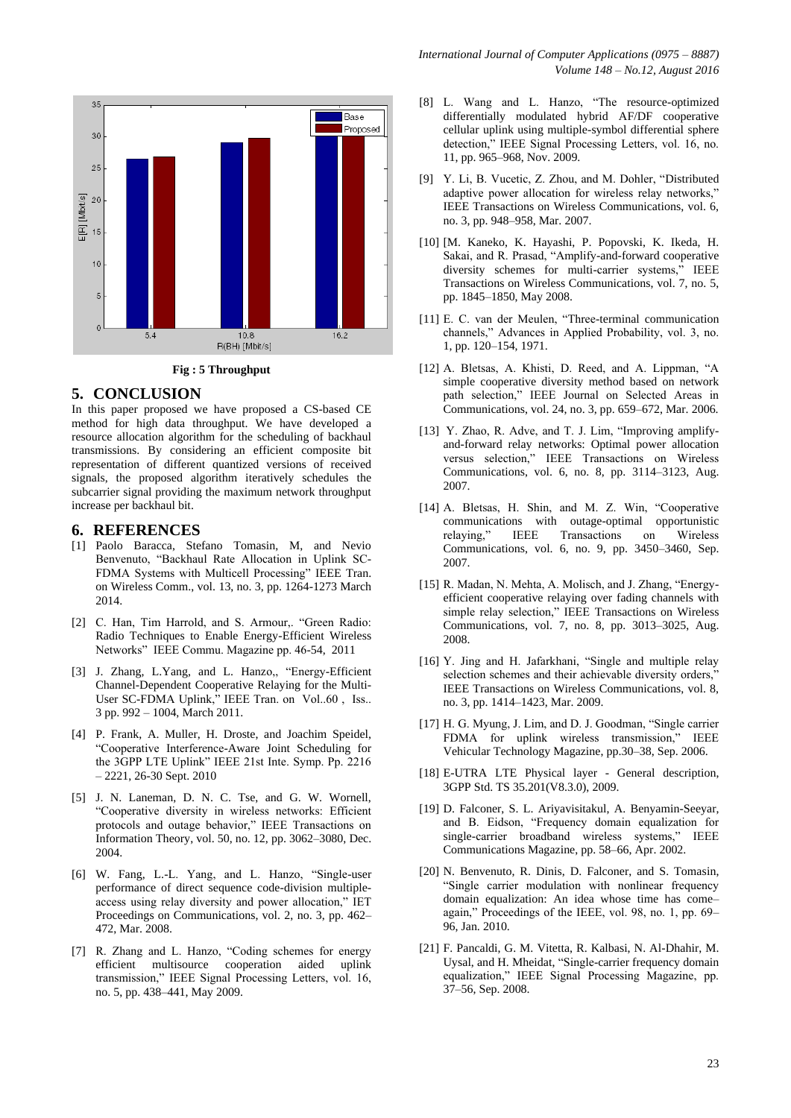

**Fig : 5 Throughput**

#### **5. CONCLUSION**

In this paper proposed we have proposed a CS-based CE method for high data throughput. We have developed a resource allocation algorithm for the scheduling of backhaul transmissions. By considering an efficient composite bit representation of different quantized versions of received signals, the proposed algorithm iteratively schedules the subcarrier signal providing the maximum network throughput increase per backhaul bit.

#### **6. REFERENCES**

- [1] Paolo Baracca, Stefano Tomasin, M, and Nevio Benvenuto, "Backhaul Rate Allocation in Uplink SC-FDMA Systems with Multicell Processing" IEEE Tran. on Wireless Comm., vol. 13, no. 3, pp. 1264-1273 March 2014.
- [2] C. Han, Tim Harrold, and S. Armour,. "Green Radio: Radio Techniques to Enable Energy-Efficient Wireless Networks" IEEE Commu. Magazine pp. 46-54, 2011
- [3] J. Zhang, L.Yang, and L. Hanzo,, "Energy-Efficient Channel-Dependent Cooperative Relaying for the Multi-User SC-FDMA Uplink," IEEE Tran. on Vol..60, Iss.. 3 pp. 992 – 1004, March 2011.
- [4] P. Frank, A. Muller, H. Droste, and Joachim Speidel, "Cooperative Interference-Aware Joint Scheduling for the 3GPP LTE Uplink" IEEE 21st Inte. Symp. Pp. 2216 – 2221, 26-30 Sept. 2010
- [5] J. N. Laneman, D. N. C. Tse, and G. W. Wornell, "Cooperative diversity in wireless networks: Efficient protocols and outage behavior," IEEE Transactions on Information Theory, vol. 50, no. 12, pp. 3062–3080, Dec. 2004.
- [6] W. Fang, L.-L. Yang, and L. Hanzo, "Single-user performance of direct sequence code-division multipleaccess using relay diversity and power allocation," IET Proceedings on Communications, vol. 2, no. 3, pp. 462– 472, Mar. 2008.
- [7] R. Zhang and L. Hanzo, "Coding schemes for energy efficient multisource cooperation aided uplink transmission," IEEE Signal Processing Letters, vol. 16, no. 5, pp. 438–441, May 2009.
- [8] L. Wang and L. Hanzo, "The resource-optimized differentially modulated hybrid AF/DF cooperative cellular uplink using multiple-symbol differential sphere detection," IEEE Signal Processing Letters, vol. 16, no. 11, pp. 965–968, Nov. 2009.
- [9] Y. Li, B. Vucetic, Z. Zhou, and M. Dohler, "Distributed adaptive power allocation for wireless relay networks," IEEE Transactions on Wireless Communications, vol. 6, no. 3, pp. 948–958, Mar. 2007.
- [10] [M. Kaneko, K. Hayashi, P. Popovski, K. Ikeda, H. Sakai, and R. Prasad, "Amplify-and-forward cooperative diversity schemes for multi-carrier systems," IEEE Transactions on Wireless Communications, vol. 7, no. 5, pp. 1845–1850, May 2008.
- [11] E. C. van der Meulen, "Three-terminal communication channels," Advances in Applied Probability, vol. 3, no. 1, pp. 120–154, 1971.
- [12] A. Bletsas, A. Khisti, D. Reed, and A. Lippman, "A simple cooperative diversity method based on network path selection," IEEE Journal on Selected Areas in Communications, vol. 24, no. 3, pp. 659–672, Mar. 2006.
- [13] Y. Zhao, R. Adve, and T. J. Lim, "Improving amplifyand-forward relay networks: Optimal power allocation versus selection," IEEE Transactions on Wireless Communications, vol. 6, no. 8, pp. 3114–3123, Aug. 2007.
- [14] A. Bletsas, H. Shin, and M. Z. Win, "Cooperative communications with outage-optimal opportunistic relaying," IEEE Transactions on Wireless Communications, vol. 6, no. 9, pp. 3450–3460, Sep. 2007.
- [15] R. Madan, N. Mehta, A. Molisch, and J. Zhang, "Energyefficient cooperative relaying over fading channels with simple relay selection," IEEE Transactions on Wireless Communications, vol. 7, no. 8, pp. 3013–3025, Aug. 2008.
- [16] Y. Jing and H. Jafarkhani, "Single and multiple relay selection schemes and their achievable diversity orders," IEEE Transactions on Wireless Communications, vol. 8, no. 3, pp. 1414–1423, Mar. 2009.
- [17] H. G. Myung, J. Lim, and D. J. Goodman, "Single carrier FDMA for uplink wireless transmission," IEEE Vehicular Technology Magazine, pp.30–38, Sep. 2006.
- [18] E-UTRA LTE Physical layer General description, 3GPP Std. TS 35.201(V8.3.0), 2009.
- [19] D. Falconer, S. L. Ariyavisitakul, A. Benyamin-Seeyar, and B. Eidson, "Frequency domain equalization for single-carrier broadband wireless systems," IEEE Communications Magazine, pp. 58–66, Apr. 2002.
- [20] N. Benvenuto, R. Dinis, D. Falconer, and S. Tomasin, "Single carrier modulation with nonlinear frequency domain equalization: An idea whose time has come– again," Proceedings of the IEEE, vol. 98, no. 1, pp. 69– 96, Jan. 2010.
- [21] F. Pancaldi, G. M. Vitetta, R. Kalbasi, N. Al-Dhahir, M. Uysal, and H. Mheidat, "Single-carrier frequency domain equalization," IEEE Signal Processing Magazine, pp. 37–56, Sep. 2008.